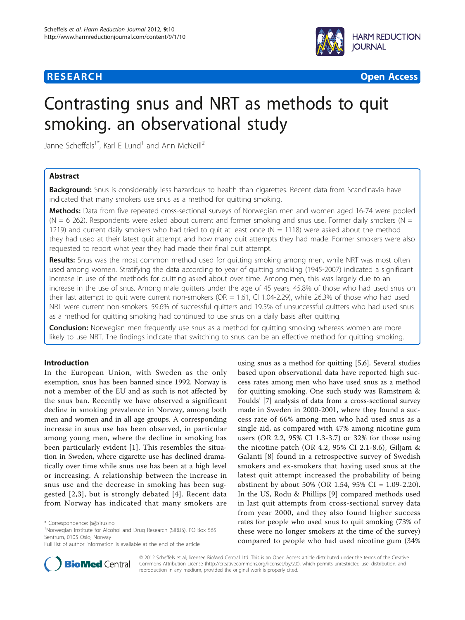

**RESEARCH CONTROL** CONTROL CONTROL CONTROL CONTROL CONTROL CONTROL CONTROL CONTROL CONTROL CONTROL CONTROL CONTROL CONTROL CONTROL CONTROL CONTROL CONTROL CONTROL CONTROL CONTROL CONTROL CONTROL CONTROL CONTROL CONTROL CON

# Contrasting snus and NRT as methods to quit smoking. an observational study

Janne Scheffels<sup>1\*</sup>, Karl E Lund<sup>1</sup> and Ann McNeill<sup>2</sup>

# Abstract

Background: Snus is considerably less hazardous to health than cigarettes. Recent data from Scandinavia have indicated that many smokers use snus as a method for quitting smoking.

Methods: Data from five repeated cross-sectional surveys of Norwegian men and women aged 16-74 were pooled  $(N = 6 262)$ . Respondents were asked about current and former smoking and snus use. Former daily smokers (N = 1219) and current daily smokers who had tried to quit at least once  $(N = 1118)$  were asked about the method they had used at their latest quit attempt and how many quit attempts they had made. Former smokers were also requested to report what year they had made their final quit attempt.

**Results:** Snus was the most common method used for quitting smoking among men, while NRT was most often used among women. Stratifying the data according to year of quitting smoking (1945-2007) indicated a significant increase in use of the methods for quitting asked about over time. Among men, this was largely due to an increase in the use of snus. Among male quitters under the age of 45 years, 45.8% of those who had used snus on their last attempt to quit were current non-smokers (OR = 1.61, CI 1.04-2.29), while 26,3% of those who had used NRT were current non-smokers. 59.6% of successful quitters and 19.5% of unsuccessful quitters who had used snus as a method for quitting smoking had continued to use snus on a daily basis after quitting.

**Conclusion:** Norwegian men frequently use snus as a method for quitting smoking whereas women are more likely to use NRT. The findings indicate that switching to snus can be an effective method for quitting smoking.

# Introduction

In the European Union, with Sweden as the only exemption, snus has been banned since 1992. Norway is not a member of the EU and as such is not affected by the snus ban. Recently we have observed a significant decline in smoking prevalence in Norway, among both men and women and in all age groups. A corresponding increase in snus use has been observed, in particular among young men, where the decline in smoking has been particularly evident [[1](#page-6-0)]. This resembles the situation in Sweden, where cigarette use has declined dramatically over time while snus use has been at a high level or increasing. A relationship between the increase in snus use and the decrease in smoking has been suggested [[2,3\]](#page-6-0), but is strongly debated [[4](#page-6-0)]. Recent data from Norway has indicated that many smokers are

Full list of author information is available at the end of the article





© 2012 Scheffels et al; licensee BioMed Central Ltd. This is an Open Access article distributed under the terms of the Creative Commons Attribution License [\(http://creativecommons.org/licenses/by/2.0](http://creativecommons.org/licenses/by/2.0)), which permits unrestricted use, distribution, and reproduction in any medium, provided the original work is properly cited.

<sup>\*</sup> Correspondence: [js@sirus.no](mailto:js@sirus.no)

<sup>&</sup>lt;sup>1</sup>Norwegian Institute for Alcohol and Drug Research (SIRUS), PO Box 565 Sentrum, 0105 Oslo, Norway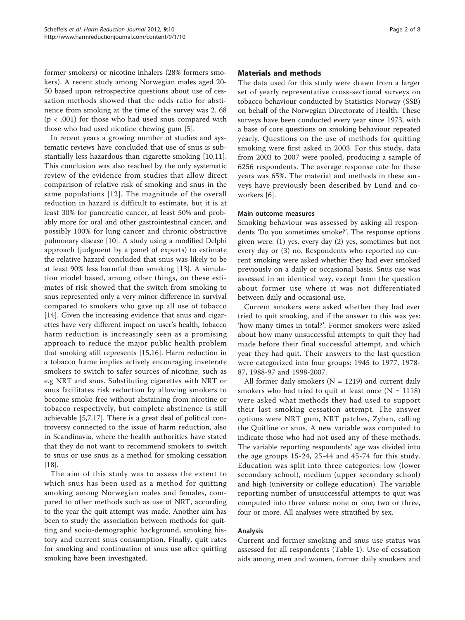former smokers) or nicotine inhalers (28% formers smokers). A recent study among Norwegian males aged 20- 50 based upon retrospective questions about use of cessation methods showed that the odds ratio for abstinence from smoking at the time of the survey was 2. 68  $(p < .001)$  for those who had used snus compared with those who had used nicotine chewing gum [\[5](#page-6-0)].

In recent years a growing number of studies and systematic reviews have concluded that use of snus is substantially less hazardous than cigarette smoking [[10,11](#page-6-0)]. This conclusion was also reached by the only systematic review of the evidence from studies that allow direct comparison of relative risk of smoking and snus in the same populations [[12](#page-6-0)]. The magnitude of the overall reduction in hazard is difficult to estimate, but it is at least 30% for pancreatic cancer, at least 50% and probably more for oral and other gastrointestinal cancer, and possibly 100% for lung cancer and chronic obstructive pulmonary disease [[10](#page-6-0)]. A study using a modified Delphi approach (judgment by a panel of experts) to estimate the relative hazard concluded that snus was likely to be at least 90% less harmful than smoking [[13](#page-6-0)]. A simulation model based, among other things, on these estimates of risk showed that the switch from smoking to snus represented only a very minor difference in survival compared to smokers who gave up all use of tobacco [[14\]](#page-6-0). Given the increasing evidence that snus and cigarettes have very different impact on user's health, tobacco harm reduction is increasingly seen as a promising approach to reduce the major public health problem that smoking still represents [[15](#page-6-0),[16\]](#page-6-0). Harm reduction in a tobacco frame implies actively encouraging inveterate smokers to switch to safer sources of nicotine, such as e.g NRT and snus. Substituting cigarettes with NRT or snus facilitates risk reduction by allowing smokers to become smoke-free without abstaining from nicotine or tobacco respectively, but complete abstinence is still achievable [[5,7,17\]](#page-6-0). There is a great deal of political controversy connected to the issue of harm reduction, also in Scandinavia, where the health authorities have stated that they do not want to recommend smokers to switch to snus or use snus as a method for smoking cessation [[18\]](#page-6-0).

The aim of this study was to assess the extent to which snus has been used as a method for quitting smoking among Norwegian males and females, compared to other methods such as use of NRT, according to the year the quit attempt was made. Another aim has been to study the association between methods for quitting and socio-demographic background, smoking history and current snus consumption. Finally, quit rates for smoking and continuation of snus use after quitting smoking have been investigated.

# Materials and methods

The data used for this study were drawn from a larger set of yearly representative cross-sectional surveys on tobacco behaviour conducted by Statistics Norway (SSB) on behalf of the Norwegian Directorate of Health. These surveys have been conducted every year since 1973, with a base of core questions on smoking behaviour repeated yearly. Questions on the use of methods for quitting smoking were first asked in 2003. For this study, data from 2003 to 2007 were pooled, producing a sample of 6256 respondents. The average response rate for these years was 65%. The material and methods in these surveys have previously been described by Lund and coworkers [\[6](#page-6-0)].

#### Main outcome measures

Smoking behaviour was assessed by asking all respondents 'Do you sometimes smoke?'. The response options given were: (1) yes, every day (2) yes, sometimes but not every day or (3) no. Respondents who reported no current smoking were asked whether they had ever smoked previously on a daily or occasional basis. Snus use was assessed in an identical way, except from the question about former use where it was not differentiated between daily and occasional use.

Current smokers were asked whether they had ever tried to quit smoking, and if the answer to this was yes: 'how many times in total?'. Former smokers were asked about how many unsuccessful attempts to quit they had made before their final successful attempt, and which year they had quit. Their answers to the last question were categorized into four groups: 1945 to 1977, 1978- 87, 1988-97 and 1998-2007.

All former daily smokers ( $N = 1219$ ) and current daily smokers who had tried to quit at least once  $(N = 1118)$ were asked what methods they had used to support their last smoking cessation attempt. The answer options were NRT gum, NRT patches, Zyban, calling the Quitline or snus. A new variable was computed to indicate those who had not used any of these methods. The variable reporting respondents' age was divided into the age groups 15-24, 25-44 and 45-74 for this study. Education was split into three categories: low (lower secondary school), medium (upper secondary school) and high (university or college education). The variable reporting number of unsuccessful attempts to quit was computed into three values: none or one, two or three, four or more. All analyses were stratified by sex.

# Analysis

Current and former smoking and snus use status was assessed for all respondents (Table [1\)](#page-2-0). Use of cessation aids among men and women, former daily smokers and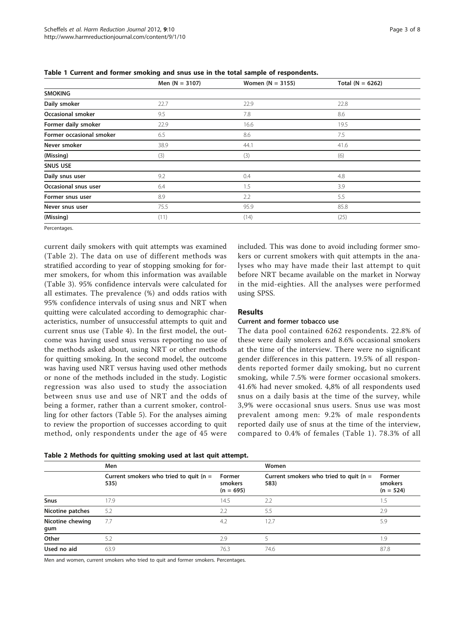|                          | Men $(N = 3107)$ | Women $(N = 3155)$ | Total ( $N = 6262$ ) |
|--------------------------|------------------|--------------------|----------------------|
| <b>SMOKING</b>           |                  |                    |                      |
| Daily smoker             | 22.7             | 22.9               | 22.8                 |
| <b>Occasional smoker</b> | 9.5              | 7.8                | 8.6                  |
| Former daily smoker      | 22.9             | 16.6               | 19.5                 |
| Former occasional smoker | 6.5              | 8.6                | 7.5                  |
| Never smoker             | 38.9             | 44.1               | 41.6                 |
| (Missing)                | (3)              | (3)                | (6)                  |
| <b>SNUS USE</b>          |                  |                    |                      |
| Daily snus user          | 9.2              | 0.4                | 4.8                  |
| Occasional snus user     | 6.4              | 1.5                | 3.9                  |
| Former snus user         | 8.9              | 2.2                | 5.5                  |
| Never snus user          | 75.5             | 95.9               | 85.8                 |
| (Missing)                | (11)             | (14)               | (25)                 |
|                          |                  |                    |                      |

<span id="page-2-0"></span>Table 1 Current and former smoking and snus use in the total sample of respondents.

Percentages.

current daily smokers with quit attempts was examined (Table 2). The data on use of different methods was stratified according to year of stopping smoking for former smokers, for whom this information was available (Table [3](#page-3-0)). 95% confidence intervals were calculated for all estimates. The prevalence (%) and odds ratios with 95% confidence intervals of using snus and NRT when quitting were calculated according to demographic characteristics, number of unsuccessful attempts to quit and current snus use (Table [4](#page-4-0)). In the first model, the outcome was having used snus versus reporting no use of the methods asked about, using NRT or other methods for quitting smoking. In the second model, the outcome was having used NRT versus having used other methods or none of the methods included in the study. Logistic regression was also used to study the association between snus use and use of NRT and the odds of being a former, rather than a current smoker, controlling for other factors (Table [5](#page-5-0)). For the analyses aiming to review the proportion of successes according to quit method, only respondents under the age of 45 were

included. This was done to avoid including former smokers or current smokers with quit attempts in the analyses who may have made their last attempt to quit before NRT became available on the market in Norway in the mid-eighties. All the analyses were performed using SPSS.

### Results

#### Current and former tobacco use

The data pool contained 6262 respondents. 22.8% of these were daily smokers and 8.6% occasional smokers at the time of the interview. There were no significant gender differences in this pattern. 19.5% of all respondents reported former daily smoking, but no current smoking, while 7.5% were former occasional smokers. 41.6% had never smoked. 4,8% of all respondents used snus on a daily basis at the time of the survey, while 3,9% were occasional snus users. Snus use was most prevalent among men: 9.2% of male respondents reported daily use of snus at the time of the interview, compared to 0.4% of females (Table 1). 78.3% of all

|                         | Men                                               |                                  | Women                                             |                                  |  |
|-------------------------|---------------------------------------------------|----------------------------------|---------------------------------------------------|----------------------------------|--|
|                         | Current smokers who tried to quit ( $n =$<br>535) | Former<br>smokers<br>$(n = 695)$ | Current smokers who tried to quit ( $n =$<br>583) | Former<br>smokers<br>$(n = 524)$ |  |
| <b>Snus</b>             | 17.9                                              | 14.5                             | 2.2                                               | 1.5                              |  |
| Nicotine patches        | 5.2                                               | 2.2                              | 5.5                                               | 2.9                              |  |
| Nicotine chewing<br>gum | 7.7                                               | 4.2                              | 12.7                                              | 5.9                              |  |
| Other                   | 5.2                                               | 2.9                              |                                                   | 1.9                              |  |
| Used no aid             | 63.9                                              | 76.3                             | 74.6                                              | 87.8                             |  |

Table 2 Methods for quitting smoking used at last quit attempt.

Men and women, current smokers who tried to quit and former smokers. Percentages.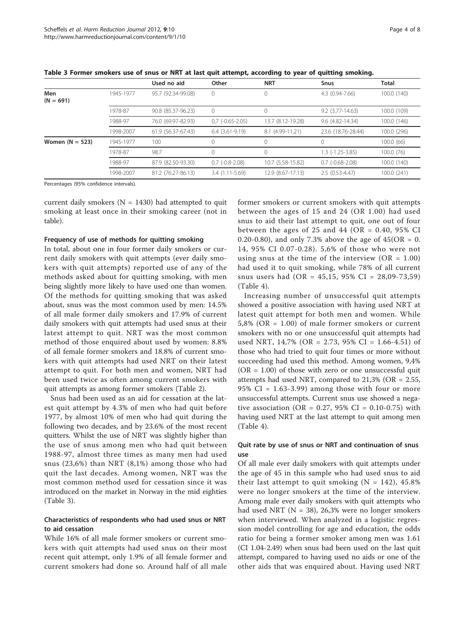|                    |           | Used no aid        | Other                   | <b>NRT</b>        | <b>Snus</b>        | Total       |
|--------------------|-----------|--------------------|-------------------------|-------------------|--------------------|-------------|
| Men<br>$(N = 691)$ | 1945-1977 | 95.7 (92.34-99.08) | 0                       | 0                 | 4.3 (0.94-7.66)    | 100.0 (140) |
|                    | 1978-87   | 90.8 (85.37-96.23) |                         | 0                 | $9.2$ (3.77-14.63) | 100.0 (109) |
|                    | 1988-97   | 76.0 (69.97-82.93) | $0.7$ (-0.65-2.05)      | 13.7 (8.12-19.28) | 9.6 (4.82-14.34)   | 100.0 (146) |
|                    | 1998-2007 | 61.9 (56.37-67.43) | $6.4(3.61-9.19)$        | 8.1 (4.99-11.21)  | 23.6 (18.76-28.44) | 100.0 (296) |
| Women (N = 523)    | 1945-1977 | 100                |                         |                   |                    | 100.0(66)   |
|                    | 1978-87   | 98.7               |                         | $\Omega$          | 1.3 (-1.25-3.85)   | 100.0(76)   |
|                    | 1988-97   | 87.9 (82.50-93.30) | $0.7$ ( $-0.8 - 2.08$ ) | 10.7 (5.58-15.82) | $0.7$ (-0.68-2.08) | 100.0 (140) |
|                    | 1998-2007 | 81.2 (76.27-86.13) | 3.4 (1.11-5.69)         | 12.9 (8.67-17.13) | $2.5(0.53-4.47)$   | 100.0 (241) |

<span id="page-3-0"></span>Table 3 Former smokers use of snus or NRT at last quit attempt, according to year of quitting smoking.

Percentages (95% confidence intervals).

current daily smokers ( $N = 1430$ ) had attempted to quit smoking at least once in their smoking career (not in table).

# Frequency of use of methods for quitting smoking

In total, about one in four former daily smokers or current daily smokers with quit attempts (ever daily smokers with quit attempts) reported use of any of the methods asked about for quitting smoking, with men being slightly more likely to have used one than women. Of the methods for quitting smoking that was asked about, snus was the most common used by men: 14.5% of all male former daily smokers and 17.9% of current daily smokers with quit attempts had used snus at their latest attempt to quit. NRT was the most common method of those enquired about used by women: 8.8% of all female former smokers and 18.8% of current smokers with quit attempts had used NRT on their latest attempt to quit. For both men and women, NRT had been used twice as often among current smokers with quit attempts as among former smokers (Table [2](#page-2-0)).

Snus had been used as an aid for cessation at the latest quit attempt by 4.3% of men who had quit before 1977, by almost 10% of men who had quit during the following two decades, and by 23.6% of the most recent quitters. Whilst the use of NRT was slightly higher than the use of snus among men who had quit between 1988-97, almost three times as many men had used snus (23,6%) than NRT (8,1%) among those who had quit the last decades. Among women, NRT was the most common method used for cessation since it was introduced on the market in Norway in the mid eighties (Table 3).

# Characteristics of respondents who had used snus or NRT to aid cessation

While 16% of all male former smokers or current smokers with quit attempts had used snus on their most recent quit attempt, only 1.9% of all female former and current smokers had done so. Around half of all male

former smokers or current smokers with quit attempts between the ages of 15 and 24 (OR 1.00) had used snus to aid their last attempt to quit, one out of four between the ages of 25 and 44 (OR =  $0.40$ , 95% CI 0.20-0.80), and only 7.3% above the age of  $45(OR = 0$ . 14, 95% CI 0.07-0.28). 5,6% of those who were not using snus at the time of the interview  $(OR = 1.00)$ had used it to quit smoking, while 78% of all current snus users had (OR = 45,15, 95% CI = 28,09-73,59) (Table [4\)](#page-4-0).

Increasing number of unsuccessful quit attempts showed a positive association with having used NRT at latest quit attempt for both men and women. While 5,8% (OR = 1.00) of male former smokers or current smokers with no or one unsuccessful quit attempts had used NRT, 14,7% (OR = 2.73, 95% CI = 1.66-4.51) of those who had tried to quit four times or more without succeeding had used this method. Among women, 9,4%  $(OR = 1.00)$  of those with zero or one unsuccessful quit attempts had used NRT, compared to  $21,3\%$  (OR = 2.55,  $95\%$  CI = 1.63-3.99) among those with four or more unsuccessful attempts. Current snus use showed a negative association (OR = 0.27, 95% CI = 0.10-0.75) with having used NRT at the last attempt to quit among men (Table [4\)](#page-4-0).

# Quit rate by use of snus or NRT and continuation of snus use

Of all male ever daily smokers with quit attempts under the age of 45 in this sample who had used snus to aid their last attempt to quit smoking  $(N = 142)$ , 45.8% were no longer smokers at the time of the interview. Among male ever daily smokers with quit attempts who had used NRT ( $N = 38$ ), 26,3% were no longer smokers when interviewed. When analyzed in a logistic regression model controlling for age and education, the odds ratio for being a former smoker among men was 1.61 (CI 1.04-2.49) when snus had been used on the last quit attempt, compared to having used no aids or one of the other aids that was enquired about. Having used NRT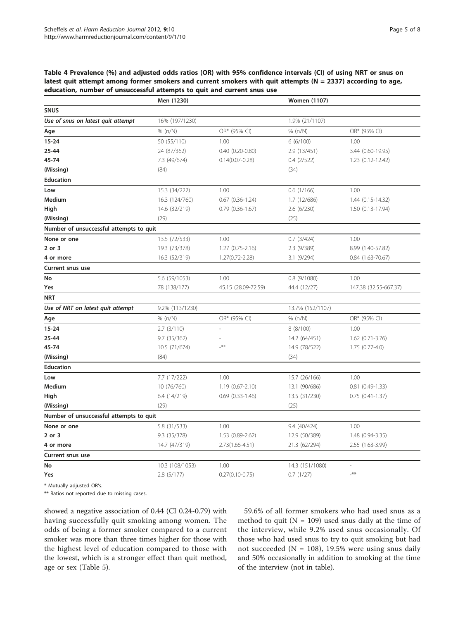<span id="page-4-0"></span>Table 4 Prevalence (%) and adjusted odds ratios (OR) with 95% confidence intervals (CI) of using NRT or snus on latest quit attempt among former smokers and current smokers with quit attempts (N = 2337) according to age, education, number of unsuccessful attempts to quit and current snus use

|                                         | Men (1230)      |                        | <b>Women (1107)</b> |                         |
|-----------------------------------------|-----------------|------------------------|---------------------|-------------------------|
| <b>SNUS</b>                             |                 |                        |                     |                         |
| Use of snus on latest quit attempt      | 16% (197/1230)  |                        | 1.9% (21/1107)      |                         |
| Age                                     | % (n/N)         | OR* (95% CI)           | % (n/N)             | OR* (95% CI)            |
| $15 - 24$                               | 50 (55/110)     | 1.00                   | 6(6/100)            | 1.00                    |
| 25-44                                   | 24 (87/362)     | $0.40$ $(0.20 - 0.80)$ | 2.9(13/451)         | 3.44 (0.60-19.95)       |
| 45-74                                   | 7.3 (49/674)    | $0.14(0.07 - 0.28)$    | 0.4(2/522)          | $1.23(0.12 - 12.42)$    |
| (Missing)                               | (84)            |                        | (34)                |                         |
| <b>Education</b>                        |                 |                        |                     |                         |
| Low                                     | 15.3 (34/222)   | 1.00                   | 0.6(1/166)          | 1.00                    |
| <b>Medium</b>                           | 16.3 (124/760)  | $0.67$ $(0.36-1.24)$   | 1.7(12/686)         | 1.44 (0.15-14.32)       |
| High                                    | 14.6 (32/219)   | $0.79(0.36-1.67)$      | 2.6(6/230)          | 1.50 (0.13-17.94)       |
| (Missing)                               | (29)            |                        | (25)                |                         |
| Number of unsuccessful attempts to quit |                 |                        |                     |                         |
| None or one                             | 13.5 (72/533)   | 1.00                   | 0.7(3/424)          | 1.00                    |
| 2 or 3                                  | 19.3 (73/378)   | $1.27(0.75-2.16)$      | 2.3(9/389)          | 8.99 (1.40-57.82)       |
| 4 or more                               | 16.3 (52/319)   | $1.27(0.72 - 2.28)$    | 3.1(9/294)          | $0.84$ $(1.63 - 70.67)$ |
| Current snus use                        |                 |                        |                     |                         |
| No                                      | 5.6 (59/1053)   | 1.00                   | $0.8$ ( $9/1080$ )  | 1.00                    |
| <b>Yes</b>                              | 78 (138/177)    | 45.15 (28.09-72.59)    | 44.4 (12/27)        | 147.38 (32.55-667.37)   |
| <b>NRT</b>                              |                 |                        |                     |                         |
| Use of NRT on latest quit attempt       | 9.2% (113/1230) |                        | 13.7% (152/1107)    |                         |
| Age                                     | % (n/N)         | OR* (95% CI)           | % (n/N)             | OR* (95% CI)            |
| $15 - 24$                               | 2.7(3/110)      |                        | 8 (8/100)           | 1.00                    |
| $25 - 44$                               | 9.7 (35/362)    |                        | 14.2 (64/451)       | 1.62 (0.71-3.76)        |
| 45-74                                   | 10.5 (71/674)   | $**$                   | 14.9 (78/522)       | $1.75(0.77-4.0)$        |
| (Missing)                               | (84)            |                        | (34)                |                         |
| <b>Education</b>                        |                 |                        |                     |                         |
| Low                                     | 7.7 (17/222)    | 1.00                   | 15.7 (26/166)       | 1.00                    |
| <b>Medium</b>                           | 10 (76/760)     | $1.19(0.67 - 2.10)$    | 13.1 (90/686)       | $0.81$ $(0.49-1.33)$    |
| High                                    | 6.4 (14/219)    | $0.69$ $(0.33 - 1.46)$ | 13.5 (31/230)       | $0.75(0.41-1.37)$       |
| (Missing)                               | (29)            |                        | (25)                |                         |
| Number of unsuccessful attempts to quit |                 |                        |                     |                         |
| None or one                             | 5.8 (31/533)    | 1.00                   | 9.4 (40/424)        | 1.00                    |
| 2 or 3                                  | 9.3(35/378)     | 1.53 (0.89-2.62)       | 12.9 (50/389)       | 1.48 (0.94-3.35)        |
| 4 or more                               | 14.7 (47/319)   | 2.73(1.66-4.51)        | 21.3 (62/294)       | 2.55 (1.63-3.99)        |
| Current snus use                        |                 |                        |                     |                         |
| No                                      | 10.3 (108/1053) | 1.00                   | 14.3 (151/1080)     | $\overline{a}$          |
| Yes                                     | 2.8(5/177)      | $0.27(0.10 - 0.75)$    | 0.7(1/27)           | $^{***}$                |

\* Mutually adjusted OR's.

\*\* Ratios not reported due to missing cases.

showed a negative association of 0.44 (CI 0.24-0.79) with having successfully quit smoking among women. The odds of being a former smoker compared to a current smoker was more than three times higher for those with the highest level of education compared to those with the lowest, which is a stronger effect than quit method, age or sex (Table [5\)](#page-5-0).

59.6% of all former smokers who had used snus as a method to quit  $(N = 109)$  used snus daily at the time of the interview, while 9.2% used snus occasionally. Of those who had used snus to try to quit smoking but had not succeeded ( $N = 108$ ), 19.5% were using snus daily and 50% occasionally in addition to smoking at the time of the interview (not in table).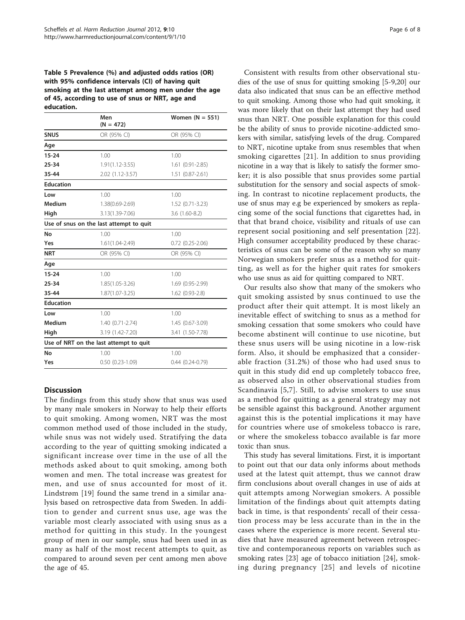<span id="page-5-0"></span>Table 5 Prevalence (%) and adjusted odds ratios (OR) with 95% confidence intervals (CI) of having quit smoking at the last attempt among men under the age of 45, according to use of snus or NRT, age and education.

|                  | Men<br>$(N = 472)$                      | Women $(N = 551)$      |
|------------------|-----------------------------------------|------------------------|
| <b>SNUS</b>      | OR (95% CI)                             | OR (95% CI)            |
| Age              |                                         |                        |
| $15 - 24$        | 1.00                                    | 1.00                   |
| 25-34            | $1.91(1.12 - 3.55)$                     | $1.61(0.91 - 2.85)$    |
| 35-44            | 2.02 (1.12-3.57)                        | 1.51 (0.87-2.61)       |
| <b>Education</b> |                                         |                        |
| Low              | 1.00                                    | 1.00                   |
| Medium           | 1.38(0.69-2.69)                         | 1.52 (0.71-3.23)       |
| High             | 3.13(1.39-7.06)                         | $3.6(1.60-8.2)$        |
|                  | Use of snus on the last attempt to quit |                        |
| No               | 1.00                                    | 1.00                   |
| Yes              | 1.61(1.04-2.49)                         | $0.72$ $(0.25 - 2.06)$ |
| <b>NRT</b>       | OR (95% CI)                             | OR (95% CI)            |
| Age              |                                         |                        |
| $15 - 24$        | 1.00                                    | 1.00                   |
| $25 - 34$        | $1.85(1.05 - 3.26)$                     | 1.69 (0.95-2.99)       |
| $35 - 44$        | 1.87(1.07-3.25)                         | 1.62 (0.93-2.8)        |
| <b>Education</b> |                                         |                        |
| Low              | 1.00                                    | 1.00                   |
| Medium           | 1.40 (0.71-2.74)                        | 1.45 (0.67-3.09)       |
| High             | 3.19 (1.42-7.20)                        | 3.41 (1.50-7.78)       |
|                  | Use of NRT on the last attempt to quit  |                        |
| No               | 1.00                                    | 1.00                   |
| Yes              | $0.50(0.23-1.09)$                       | $0.44$ $(0.24 - 0.79)$ |

# **Discussion**

The findings from this study show that snus was used by many male smokers in Norway to help their efforts to quit smoking. Among women, NRT was the most common method used of those included in the study, while snus was not widely used. Stratifying the data according to the year of quitting smoking indicated a significant increase over time in the use of all the methods asked about to quit smoking, among both women and men. The total increase was greatest for men, and use of snus accounted for most of it. Lindstrøm [\[19\]](#page-6-0) found the same trend in a similar analysis based on retrospective data from Sweden. In addition to gender and current snus use, age was the variable most clearly associated with using snus as a method for quitting in this study. In the youngest group of men in our sample, snus had been used in as many as half of the most recent attempts to quit, as compared to around seven per cent among men above the age of 45.

Consistent with results from other observational studies of the use of snus for quitting smoking [[5-9,20\]](#page-6-0) our data also indicated that snus can be an effective method to quit smoking. Among those who had quit smoking, it was more likely that on their last attempt they had used snus than NRT. One possible explanation for this could be the ability of snus to provide nicotine-addicted smokers with similar, satisfying levels of the drug. Compared to NRT, nicotine uptake from snus resembles that when smoking cigarettes [[21](#page-6-0)]. In addition to snus providing nicotine in a way that is likely to satisfy the former smoker; it is also possible that snus provides some partial substitution for the sensory and social aspects of smoking. In contrast to nicotine replacement products, the use of snus may e.g be experienced by smokers as replacing some of the social functions that cigarettes had, in that that brand choice, visibility and rituals of use can represent social positioning and self presentation [[22](#page-6-0)]. High consumer acceptability produced by these characteristics of snus can be some of the reason why so many Norwegian smokers prefer snus as a method for quitting, as well as for the higher quit rates for smokers who use snus as aid for quitting compared to NRT.

Our results also show that many of the smokers who quit smoking assisted by snus continued to use the product after their quit attempt. It is most likely an inevitable effect of switching to snus as a method for smoking cessation that some smokers who could have become abstinent will continue to use nicotine, but these snus users will be using nicotine in a low-risk form. Also, it should be emphasized that a considerable fraction (31.2%) of those who had used snus to quit in this study did end up completely tobacco free, as observed also in other observational studies from Scandinavia [[5,7](#page-6-0)]. Still, to advise smokers to use snus as a method for quitting as a general strategy may not be sensible against this background. Another argument against this is the potential implications it may have for countries where use of smokeless tobacco is rare, or where the smokeless tobacco available is far more toxic than snus.

This study has several limitations. First, it is important to point out that our data only informs about methods used at the latest quit attempt, thus we cannot draw firm conclusions about overall changes in use of aids at quit attempts among Norwegian smokers. A possible limitation of the findings about quit attempts dating back in time, is that respondents' recall of their cessation process may be less accurate than in the in the cases where the experience is more recent. Several studies that have measured agreement between retrospective and contemporaneous reports on variables such as smoking rates [\[23](#page-6-0)] age of tobacco initiation [[24\]](#page-6-0), smoking during pregnancy [[25\]](#page-6-0) and levels of nicotine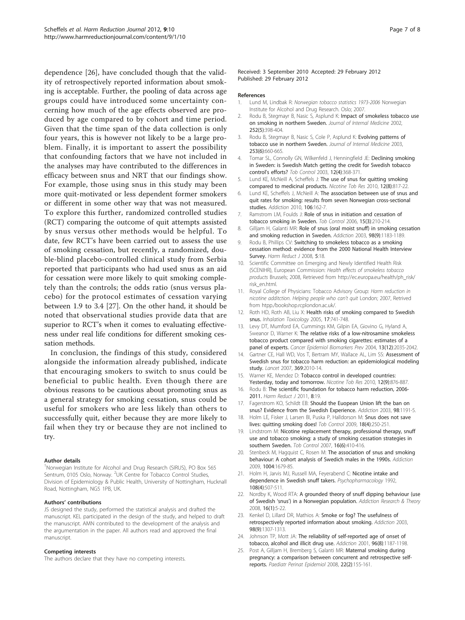<span id="page-6-0"></span>dependence [\[26](#page-7-0)], have concluded though that the validity of retrospectively reported information about smoking is acceptable. Further, the pooling of data across age groups could have introduced some uncertainty concerning how much of the age effects observed are produced by age compared to by cohort and time period. Given that the time span of the data collection is only four years, this is however not likely to be a large problem. Finally, it is important to assert the possibility that confounding factors that we have not included in the analyses may have contributed to the differences in efficacy between snus and NRT that our findings show. For example, those using snus in this study may been more quit-motivated or less dependent former smokers or different in some other way that was not measured. To explore this further, randomized controlled studies (RCT) comparing the outcome of quit attempts assisted by snus versus other methods would be helpful. To date, few RCT's have been carried out to assess the use of smoking cessation, but recently, a randomized, double-blind placebo-controlled clinical study from Serbia reported that participants who had used snus as an aid for cessation were more likely to quit smoking completely than the controls; the odds ratio (snus versus placebo) for the protocol estimates of cessation varying between 1.9 to 3.4 [\[27](#page-7-0)]. On the other hand, it should be noted that observational studies provide data that are superior to RCT's when it comes to evaluating effectiveness under real life conditions for different smoking cessation methods.

In conclusion, the findings of this study, considered alongside the information already published, indicate that encouraging smokers to switch to snus could be beneficial to public health. Even though there are obvious reasons to be cautious about promoting snus as a general strategy for smoking cessation, snus could be useful for smokers who are less likely than others to successfully quit, either because they are more likely to fail when they try or because they are not inclined to try.

#### Author details

<sup>1</sup>Norwegian Institute for Alcohol and Drug Research (SIRUS), PO Box 565 Sentrum, 0105 Oslo, Norway. <sup>2</sup>UK Centre for Tobacco Control Studies, Division of Epidemiology & Public Health, University of Nottingham, Hucknall Road, Nottingham, NG5 1PB, UK.

#### Authors' contributions

JS designed the study, performed the statistical analysis and drafted the manuscript. KEL participated in the design of the study, and helped to draft the manuscript. AMN contributed to the development of the analysis and the argumentation in the paper. All authors read and approved the final manuscript.

#### Competing interests

The authors declare that they have no competing interests.

#### Received: 3 September 2010 Accepted: 29 February 2012 Published: 29 February 2012

#### References

- 1. Lund M, Lindbak R: Norwegian tobacco statistics 1973-2006 Norwegian Institute for Alcohol and Drug Research. Oslo; 2007.
- 2. Rodu B, Stegmayr B, Nasic S, Asplund K: [Impact of smokeless tobacco use](http://www.ncbi.nlm.nih.gov/pubmed/12528757?dopt=Abstract) [on smoking in northern Sweden.](http://www.ncbi.nlm.nih.gov/pubmed/12528757?dopt=Abstract) Journal of Internal Medicine 2002, 252(5):398-404.
- 3. Rodu B, Stegmayr B, Nasic S, Cole P, Asplund K: [Evolving patterns of](http://www.ncbi.nlm.nih.gov/pubmed/12755962?dopt=Abstract) [tobacco use in northern Sweden.](http://www.ncbi.nlm.nih.gov/pubmed/12755962?dopt=Abstract) Journal of Internal Medicine 2003, 253(6):660-665.
- 4. Tomar SL, Connolly GN, Wilkenfeld J, Henningfield JE: [Declining smoking](http://www.ncbi.nlm.nih.gov/pubmed/14660769?dopt=Abstract) [in Sweden: is Swedish Match getting the credit for Swedish tobacco](http://www.ncbi.nlm.nih.gov/pubmed/14660769?dopt=Abstract) control'[s efforts?](http://www.ncbi.nlm.nih.gov/pubmed/14660769?dopt=Abstract) Tob Control 2003, 12(4):368-371.
- 5. Lund KE, McNeill A, Scheffels J: [The use of snus for quitting smoking](http://www.ncbi.nlm.nih.gov/pubmed/20622023?dopt=Abstract) [compared to medicinal products.](http://www.ncbi.nlm.nih.gov/pubmed/20622023?dopt=Abstract) Nicotine Tob Res 2010, 12(8):817-22.
- 6. Lund KE, Scheffels J, McNeill A: [The association between use of snus and](http://www.ncbi.nlm.nih.gov/pubmed/20883459?dopt=Abstract) [quit rates for smoking: results from seven Norwegian cross-sectional](http://www.ncbi.nlm.nih.gov/pubmed/20883459?dopt=Abstract) [studies.](http://www.ncbi.nlm.nih.gov/pubmed/20883459?dopt=Abstract) Addiction 2010, 106:162-7.
- 7. Ramstrom LM, Foulds J: [Role of snus in initiation and cessation of](http://www.ncbi.nlm.nih.gov/pubmed/16728752?dopt=Abstract) [tobacco smoking in Sweden.](http://www.ncbi.nlm.nih.gov/pubmed/16728752?dopt=Abstract) Tob Control 2006, 15(3):210-214.
- 8. Gilljam H, Galanti MR: [Role of snus \(oral moist snuff\) in smoking cessation](http://www.ncbi.nlm.nih.gov/pubmed/12930201?dopt=Abstract) [and smoking reduction in Sweden.](http://www.ncbi.nlm.nih.gov/pubmed/12930201?dopt=Abstract) Addiction 2003, 98(9):1183-1189.
- 9. Rodu B, Phillips CV: [Switching to smokeless tobacco as a smoking](http://www.ncbi.nlm.nih.gov/pubmed/18500993?dopt=Abstract) [cessation method: evidence from the 2000 National Health Interview](http://www.ncbi.nlm.nih.gov/pubmed/18500993?dopt=Abstract) [Survey.](http://www.ncbi.nlm.nih.gov/pubmed/18500993?dopt=Abstract) Harm Reduct J 2008, 5:18.
- 10. Scientific Committee on Emerging and Newly Identified Health Risk (SCENIHR), European Commission: Health effects of smokeless tobacco products Brussels; 2008, Retrieved from http://ec.europa.eu/health/ph\_risk/ risk\_en.html.
- 11. Royal College of Physicians: Tobacco Advisory Group: Harm reduction in nicotine additction. Helping people who can't quit London; 2007, Retrived from htpp./bookshop.rcplondon.ac.uk/.
- 12. Roth HD, Roth AB, Liu X: [Health risks of smoking compared to Swedish](http://www.ncbi.nlm.nih.gov/pubmed/16195209?dopt=Abstract) [snus.](http://www.ncbi.nlm.nih.gov/pubmed/16195209?dopt=Abstract) Inhalation Toxicology 2005, 17:741-748.
- 13. Levy DT, Mumford EA, Cummings KM, Gilpin EA, Giovino G, Hyland A, Sweanor D, Warner K: [The relative risks of a low-nitrosamine smokeless](http://www.ncbi.nlm.nih.gov/pubmed/15598758?dopt=Abstract) [tobacco product compared with smoking cigarettes: estimates of a](http://www.ncbi.nlm.nih.gov/pubmed/15598758?dopt=Abstract) [panel of experts.](http://www.ncbi.nlm.nih.gov/pubmed/15598758?dopt=Abstract) Cancer Epidemiol Biomarkers Prev 2004, 13(12):2035-2042.
- 14. Gartner CE, Hall WD, Vos T, Bertram MY, Wallace AL, Lim SS: [Assessment of](http://www.ncbi.nlm.nih.gov/pubmed/17498798?dopt=Abstract) [Swedish snus for tobacco harm reduction: an epidemiological modeling](http://www.ncbi.nlm.nih.gov/pubmed/17498798?dopt=Abstract) [study.](http://www.ncbi.nlm.nih.gov/pubmed/17498798?dopt=Abstract) Lancet 2007, 369:2010-14.
- 15. Warner KE, Mendez D: [Tobacco control in developed countries:](http://www.ncbi.nlm.nih.gov/pubmed/20702814?dopt=Abstract) [Yesterday, today and tomorrow.](http://www.ncbi.nlm.nih.gov/pubmed/20702814?dopt=Abstract) Nicotine Tob Res 2010, 12(9):876-887.
- 16. Rodu B: [The scientific foundation for tobacco harm reduction, 2006-](http://www.ncbi.nlm.nih.gov/pubmed/21801389?dopt=Abstract) [2011.](http://www.ncbi.nlm.nih.gov/pubmed/21801389?dopt=Abstract) Harm Reduct J 2011, 8:19.
- 17. Fagerstrom KO, Schildt EB: [Should the Euopean Union lift the ban on](http://www.ncbi.nlm.nih.gov/pubmed/12930202?dopt=Abstract) [snus? Evidence from the Swedish Experience.](http://www.ncbi.nlm.nih.gov/pubmed/12930202?dopt=Abstract) Addiction 2003, 98:1191-5.
- 18. Holm LE, Fisker J, Larsen BI, Puska P, Halldorson M: [Snus does not save](http://www.ncbi.nlm.nih.gov/pubmed/19633141?dopt=Abstract) [lives: quitting smoking does!](http://www.ncbi.nlm.nih.gov/pubmed/19633141?dopt=Abstract) Tob Control 2009, 18(4):250-251.
- 19. Lindstrom M: [Nicotine replacement therapy, professional therapy, snuff](http://www.ncbi.nlm.nih.gov/pubmed/18048619?dopt=Abstract) [use and tobacco smoking: a study of smoking cessation strategies in](http://www.ncbi.nlm.nih.gov/pubmed/18048619?dopt=Abstract) [southern Sweden.](http://www.ncbi.nlm.nih.gov/pubmed/18048619?dopt=Abstract) Tob Control 2007, 16(6):410-416.
- 20. Stenbeck M, Hagquist C, Rosen M: The association of snus and smoking behaviour: A cohort analysis of Swedich males in the 1990s. Addiction 2009, 1004:1679-85.
- 21. Holm H, Jarvis MJ, Russell MA, Feyerabend C: [Nicotine intake and](http://www.ncbi.nlm.nih.gov/pubmed/1410167?dopt=Abstract) [dependence in Swedish snuff takers.](http://www.ncbi.nlm.nih.gov/pubmed/1410167?dopt=Abstract) Psychopharmacology 1992, 108(4):507-511.
- 22. Nordby K, Wood RTA: [A grounded theory of snuff dipping behaviour \(use](http://www.ncbi.nlm.nih.gov/pubmed/22389180?dopt=Abstract) of Swedish 'snus'[\) in a Norwegian population.](http://www.ncbi.nlm.nih.gov/pubmed/22389180?dopt=Abstract) Addiction Research & Theory 2008, 16(1):5-22.
- 23. Kenkel D, Lillard DR, Mathios A: [Smoke or fog? The usefulness of](http://www.ncbi.nlm.nih.gov/pubmed/12930218?dopt=Abstract) [retrospectively reported information about smoking.](http://www.ncbi.nlm.nih.gov/pubmed/12930218?dopt=Abstract) Addiction 2003, 98(9):1307-1313.
- 24. Johnson TP, Mott JA: [The reliability of self-reported age of onset of](http://www.ncbi.nlm.nih.gov/pubmed/11487424?dopt=Abstract) [tobacco, alcohol and illicit drug use.](http://www.ncbi.nlm.nih.gov/pubmed/11487424?dopt=Abstract) Addiction 2001, 96(8):1187-1198.
- 25. Post A, Gilljam H, Bremberg S, Galanti MR: [Maternal smoking during](http://www.ncbi.nlm.nih.gov/pubmed/18298690?dopt=Abstract) [pregnancy: a comparison between concurrent and retrospective self](http://www.ncbi.nlm.nih.gov/pubmed/18298690?dopt=Abstract)[reports.](http://www.ncbi.nlm.nih.gov/pubmed/18298690?dopt=Abstract) Paediatr Perinat Epidemiol 2008, 22(2):155-161.